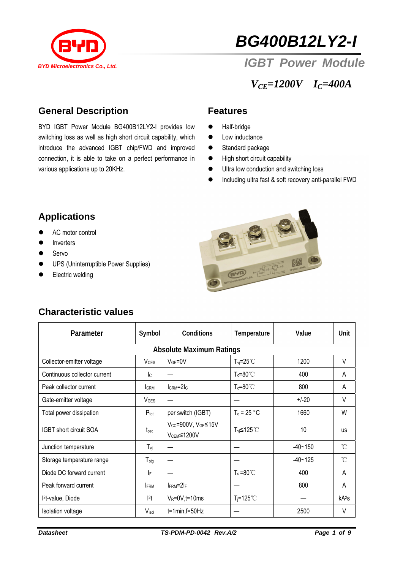

# *BG400B12LY2-I*

## *IGBT Power Module*

*VCE=1200V IC=400A* 

#### **General Description**

various applications up to 20KHz. BYD IGBT Power Module BG400B12LY2-I provides low switching loss as well as high short circuit capability, which introduce the advanced IGBT chip/FWD and improved connection, it is able to take on a perfect performance in

#### **Features**

- Half-bridge
- $\bullet$  Low inductance
- Standard package
- $\bullet$  High short circuit capability
- $\bullet$  Ultra low conduction and switching loss
- **•** Including ultra fast & soft recovery anti-parallel FWD

### **Applications**

- AC motor control
- Inverters
- Servo
- **•** UPS (Uninterruptible Power Supplies)
- Electric welding



| <b>Characteristic values</b> |  |
|------------------------------|--|
|                              |  |

| Parameter                       | Symbol                 | <b>Conditions</b>                            | Temperature           | Value       | Unit              |  |  |  |
|---------------------------------|------------------------|----------------------------------------------|-----------------------|-------------|-------------------|--|--|--|
| <b>Absolute Maximum Ratings</b> |                        |                                              |                       |             |                   |  |  |  |
| Collector-emitter voltage       | <b>V<sub>CES</sub></b> | $VGE=0V$                                     | $T_{vi} = 25^{\circ}$ | 1200        | $\vee$            |  |  |  |
| Continuous collector current    | $\mathsf{c}$           |                                              | $T_c = 80^{\circ}$ C  | 400         | A                 |  |  |  |
| Peak collector current          | <b>CRM</b>             | $lcRM=2lc$                                   | $T_c = 80^{\circ}$ C  | 800         | A                 |  |  |  |
| Gate-emitter voltage            | VGES                   |                                              |                       | $+/-20$     | V                 |  |  |  |
| Total power dissipation         | $P_{\text{tot}}$       | per switch (IGBT)                            | $T_c = 25 °C$         | 1660        | W                 |  |  |  |
| IGBT short circuit SOA          | $t_{\text{psc}}$       | Vcc=900V, VGE≤15V<br>V <sub>CEM</sub> ≤1200V | T <sub>vi</sub> ≤125℃ | 10          | <b>US</b>         |  |  |  |
| Junction temperature            | $T_{\text{vj}}$        |                                              |                       | $-40 - 150$ | °C                |  |  |  |
| Storage temperature range       | $T_{\text{stg}}$       |                                              |                       | $-40 - 125$ | °C                |  |  |  |
| Diode DC forward current        | IF                     |                                              | $T_c = 80^{\circ}$ C  | 400         | A                 |  |  |  |
| Peak forward current            | <b>IFRM</b>            | $I_{\text{FRM}} = 2I_{\text{F}}$             |                       | 800         | A                 |  |  |  |
| l <sup>2</sup> t-value, Diode   | 2t                     | $V_R = 0V, t = 10ms$                         | $T_i = 125^{\circ}$ C |             | kA <sup>2</sup> S |  |  |  |
| Isolation voltage               | V <sub>isol</sub>      | $t=1$ min, $f=50$ Hz                         |                       | 2500        | V                 |  |  |  |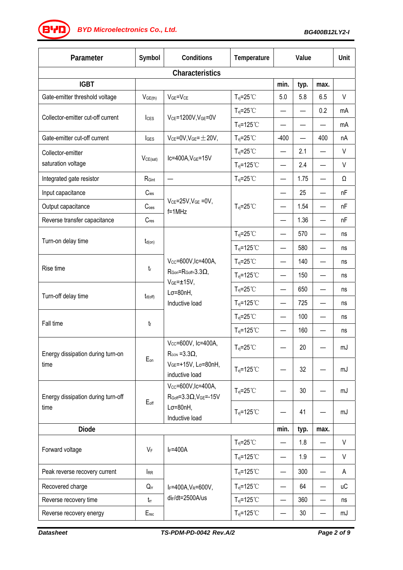*BG400B12LY2-I BYD Microelectronics Co., Ltd.*

| Parameter                                  | Symbol              | Conditions                                                                                                   | Temperature                      | Value                    |                          | Unit                     |           |
|--------------------------------------------|---------------------|--------------------------------------------------------------------------------------------------------------|----------------------------------|--------------------------|--------------------------|--------------------------|-----------|
|                                            |                     | <b>Characteristics</b>                                                                                       |                                  |                          |                          |                          |           |
| <b>IGBT</b>                                |                     |                                                                                                              |                                  | min.                     | typ.                     | max.                     |           |
| Gate-emitter threshold voltage             | V <sub>GE(th)</sub> | $VGE=VCE$                                                                                                    | $T_{\text{vj}}=25^{\circ}C$      | 5.0                      | 5.8                      | 6.5                      | V         |
|                                            |                     | VCE=1200V, VGE=0V                                                                                            | $T_{\text{vj}}=25^{\circ}C$      |                          |                          | 0.2                      | mA        |
| Collector-emitter cut-off current          | <b>I</b> ces        |                                                                                                              | $T_{vi} = 125^{\circ}$ C         |                          |                          |                          | mA        |
| Gate-emitter cut-off current               | <b>I</b> GES        | $V_{CE} = 0V$ , $V_{GE} = \pm 20V$ ,                                                                         | $T_{\text{vj}}=25^{\circ}C$      | $-400$                   | $\overline{\phantom{0}}$ | 400                      | nA        |
| Collector-emitter                          |                     |                                                                                                              | $T_{\text{vj}}=25^{\circ}C$      |                          | 2.1                      |                          | V         |
| saturation voltage                         | VCE(sat)            | Ic=400A, VGE=15V                                                                                             | $T_{vj} = 125^{\circ}$ C         |                          | 2.4                      |                          | V         |
| Integrated gate resistor                   | RGint               |                                                                                                              | $T_{\text{vj}}=25^{\circ}C$      |                          | 1.75                     |                          | Ω         |
| Input capacitance                          | $C_{\text{ies}}$    |                                                                                                              |                                  |                          | 25                       |                          | nF        |
| Output capacitance                         | C <sub>oes</sub>    | $V_{CE} = 25V$ , $V_{GE} = 0V$ ,<br>$f=1$ MHz                                                                | $T_{\text{vj}}=25^{\circ}C$      |                          | 1.54                     |                          | nF        |
| Reverse transfer capacitance               | $C_{res}$           |                                                                                                              |                                  |                          | 1.36                     |                          | nF        |
|                                            |                     |                                                                                                              | $T_{vi} = 25^{\circ}$ C          | —                        | 570                      |                          | ns        |
| Turn-on delay time                         | $t_{d(on)}$         |                                                                                                              | $T_{\text{vj}}$ =125°C           |                          | 580                      |                          | ns        |
|                                            |                     | Vcc=600V, Ic=400A,<br>$R_{\text{Gon}} = R_{\text{Goff}} = 3.3 \Omega$<br>$VGE=±15V,$<br>$L\sigma = 80nH$ ,   | $T_{vi} = 25^{\circ}$ C          |                          | 140                      |                          | ns        |
| Rise time                                  | $t_{\rm r}$         |                                                                                                              | $T_{vi} = 125^{\circ}$ C         |                          | 150                      |                          | ns        |
|                                            |                     |                                                                                                              | $T_{\text{vj}}=25^{\circ}C$      |                          | 650                      |                          | ns        |
| Turn-off delay time                        | $t_{d(off)}$        | Inductive load                                                                                               | $T_{\text{vj}}$ =125°C           | $\overline{\phantom{0}}$ | 725                      |                          | ns        |
| Fall time                                  | tf                  |                                                                                                              | $T_{\text{vj}}=25^{\circ}C$      |                          | 100                      |                          | ns        |
|                                            |                     |                                                                                                              | $T_{vi} = 125$ °C                | —                        | 160                      |                          | ns        |
| Energy dissipation during turn-on<br>time  |                     | Vcc=600V, Ic=400A,<br>$R_{\text{GON}} = 3.3 \Omega$ ,<br>VGE=+15V, Lσ=80nH,<br>inductive load                | $T_{vi} = 25^{\circ}$ C          |                          | 20                       |                          | mJ        |
|                                            | $E_{on}$            |                                                                                                              | $T_{vj} = 125^{\circ}$ C         |                          | 32                       |                          | mJ        |
| Energy dissipation during turn-off<br>time | $E_{off}$           | $V_{CC} = 600V$ , Ic=400A,<br>$R_{Goff} = 3.3 \Omega, V_{GE} = -15 V$<br>$L\sigma = 80nH,$<br>Inductive load | $T_{vi} = 25^{\circ}$ C          |                          | 30                       |                          | mJ        |
|                                            |                     |                                                                                                              | $T_{vi} = 125^{\circ}$ C         |                          | 41                       |                          | mJ        |
| <b>Diode</b>                               |                     |                                                                                                              |                                  | min.                     | typ.                     | max.                     |           |
| Forward voltage                            | VF                  | $I_F = 400A$                                                                                                 | $T_{\text{vj}}=25^{\circ}C$      |                          | 1.8                      |                          | V         |
|                                            |                     |                                                                                                              | $T_{vi} = 125^{\circ}$ C         | —                        | 1.9                      |                          | V         |
| Peak reverse recovery current              | <b>IRR</b>          |                                                                                                              | $T_{\text{vj}}$ =125°C           |                          | 300                      |                          | A         |
| Recovered charge                           | $Q_{rr}$            | IF=400A, VR=600V,                                                                                            | $T_{\text{vj}}$ =125°C           |                          | 64                       |                          | <b>uC</b> |
| Reverse recovery time                      | $t_{rr}$            | di <sub>F</sub> /dt=2500A/us                                                                                 | $T_{\text{vj}}$ =125 $\degree$ C | —                        | 360                      | $\overline{\phantom{0}}$ | ns        |
| Reverse recovery energy                    | $E_{rec}$           |                                                                                                              | $T_{\text{vj}}$ =125°C           | —                        | $30\,$                   |                          | mJ        |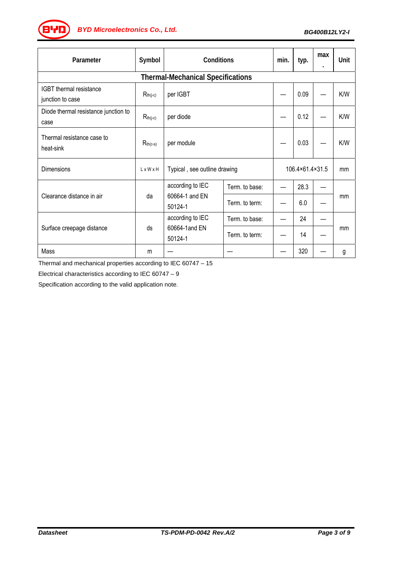*BG400B12LY2-I BYD Microelectronics Co., Ltd.*

| Parameter                                          | Symbol                | Conditions                                    |                | min.            | typ. | max | Unit |
|----------------------------------------------------|-----------------------|-----------------------------------------------|----------------|-----------------|------|-----|------|
| <b>Thermal-Mechanical Specifications</b>           |                       |                                               |                |                 |      |     |      |
| <b>IGBT</b> thermal resistance<br>junction to case | $R_{th(j-c)}$         | per IGBT                                      |                |                 | 0.09 |     | K/W  |
| Diode thermal resistance junction to<br>case       | $R_{th(j-c)}$         | per diode                                     |                |                 | 0.12 |     | K/W  |
| Thermal resistance case to<br>heat-sink            | $R_{th(c-s)}$         | per module                                    |                |                 | 0.03 |     | K/W  |
| <b>Dimensions</b>                                  | $L \times W \times H$ | Typical, see outline drawing                  |                | 106.4×61.4×31.5 |      | mm  |      |
| Clearance distance in air                          | da                    | according to IEC<br>60664-1 and EN<br>50124-1 | Term. to base: |                 | 28.3 |     |      |
|                                                    |                       |                                               | Term. to term: |                 | 6.0  |     | mm   |
| Surface creepage distance                          | ds                    | according to IEC<br>60664-1and EN<br>50124-1  | Term. to base: |                 | 24   |     | mm   |
|                                                    |                       |                                               | Term. to term: |                 | 14   |     |      |
| Mass                                               | m                     |                                               |                |                 | 320  |     | g    |

Thermal and mechanical properties according to IEC 60747 – 15

Electrical characteristics according to IEC 60747 – 9

Specification according to the valid application note.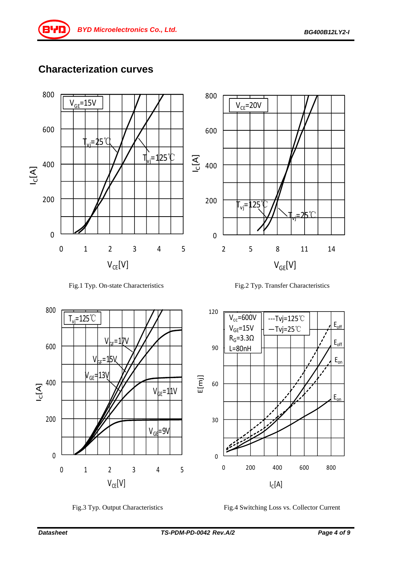#### **Characterization curves**











Fig.3 Typ. Output Characteristics Fig.4 Switching Loss vs. Collector Current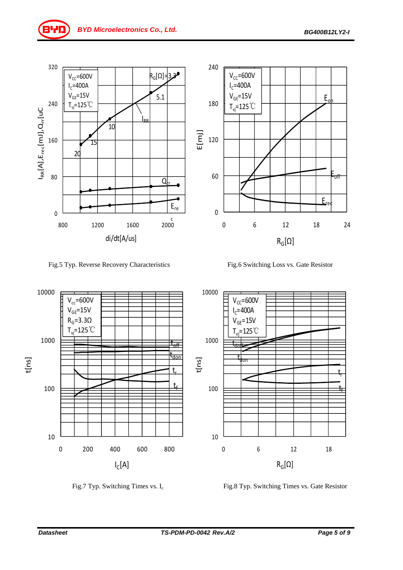





Fig.7 Typ. Switching Times vs. I<sub>c</sub> Fig.8 Typ. Switching Times vs. Gate Resistor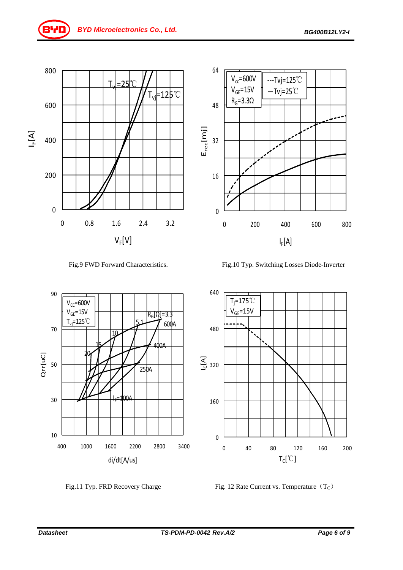

Fig.9 FWD Forward Characteristics. Fig.10 Typ. Switching Losses Diode-Inverter





Fig.11 Typ. FRD Recovery Charge Fig. 12 Rate Current vs. Temperature  $(T_C)$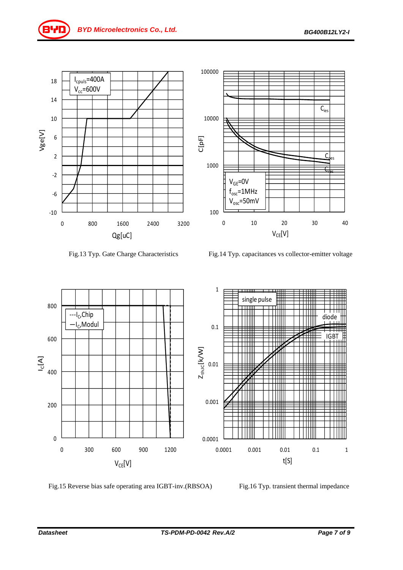

Fig.13 Typ. Gate Charge Characteristics Fig.14 Typ. capacitances vs collector-emitter voltage



Fig.15 Reverse bias safe operating area IGBT-inv.(RBSOA) Fig.16 Typ. transient thermal impedance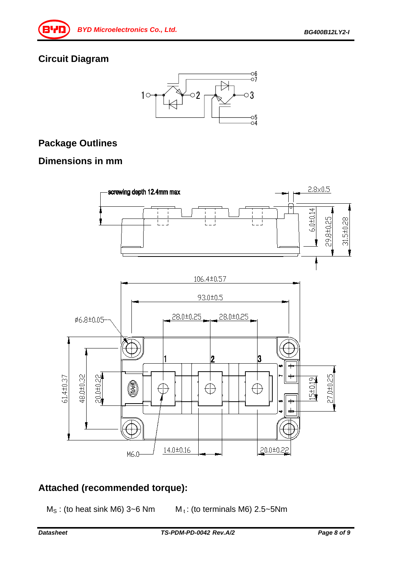#### **Circuit Diagram**



#### **Package Outlines**

#### **Dimensions in mm**



#### **Attached (recommended torque):**

 $M_S$ : (to heat sink M6) 3~6 Nm  $M_t$ : (to terminals M6) 2.5~5 Nm